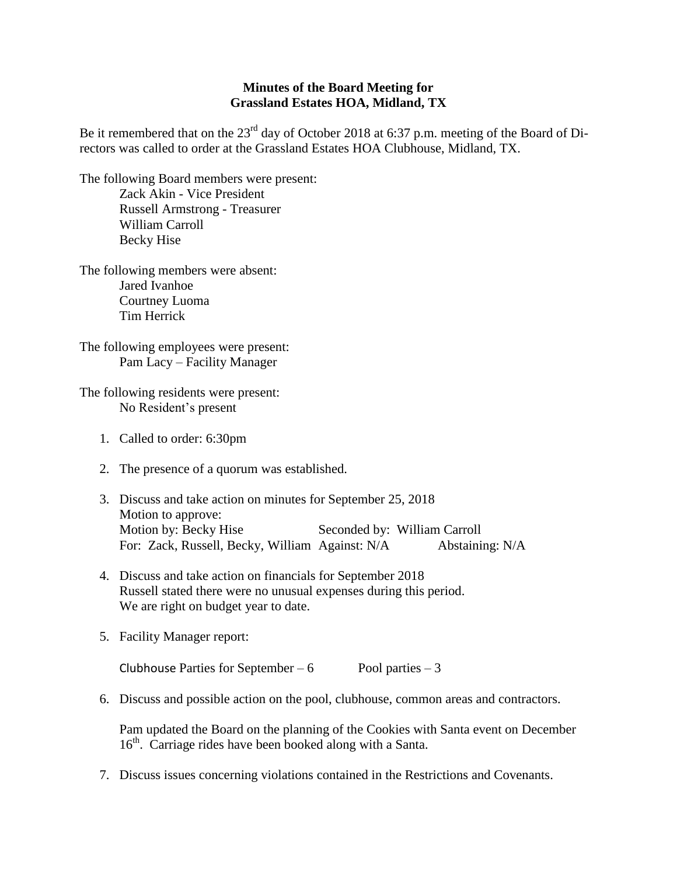## **Minutes of the Board Meeting for Grassland Estates HOA, Midland, TX**

Be it remembered that on the 23<sup>rd</sup> day of October 2018 at 6:37 p.m. meeting of the Board of Directors was called to order at the Grassland Estates HOA Clubhouse, Midland, TX.

The following Board members were present: Zack Akin - Vice President Russell Armstrong - Treasurer William Carroll Becky Hise

The following members were absent: Jared Ivanhoe Courtney Luoma Tim Herrick

The following employees were present: Pam Lacy – Facility Manager

The following residents were present: No Resident's present

- 1. Called to order: 6:30pm
- 2. The presence of a quorum was established.
- 3. Discuss and take action on minutes for September 25, 2018 Motion to approve: Motion by: Becky Hise Seconded by: William Carroll For: Zack, Russell, Becky, William Against: N/A Abstaining: N/A
- 4. Discuss and take action on financials for September 2018 Russell stated there were no unusual expenses during this period. We are right on budget year to date.
- 5. Facility Manager report:

Clubhouse Parties for September – 6 Pool parties – 3

6. Discuss and possible action on the pool, clubhouse, common areas and contractors.

Pam updated the Board on the planning of the Cookies with Santa event on December 16<sup>th</sup>. Carriage rides have been booked along with a Santa.

7. Discuss issues concerning violations contained in the Restrictions and Covenants.